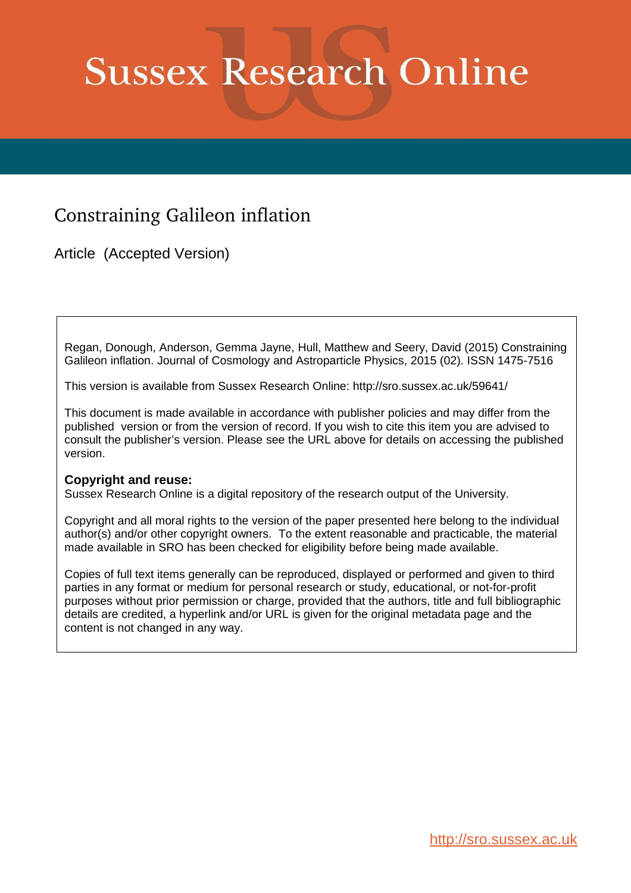# **Sussex Research Online**

## Constraining Galileon inflation

Article (Accepted Version)

Regan, Donough, Anderson, Gemma Jayne, Hull, Matthew and Seery, David (2015) Constraining Galileon inflation. Journal of Cosmology and Astroparticle Physics, 2015 (02). ISSN 1475-7516

This version is available from Sussex Research Online: http://sro.sussex.ac.uk/59641/

This document is made available in accordance with publisher policies and may differ from the published version or from the version of record. If you wish to cite this item you are advised to consult the publisher's version. Please see the URL above for details on accessing the published version.

### **Copyright and reuse:**

Sussex Research Online is a digital repository of the research output of the University.

Copyright and all moral rights to the version of the paper presented here belong to the individual author(s) and/or other copyright owners. To the extent reasonable and practicable, the material made available in SRO has been checked for eligibility before being made available.

Copies of full text items generally can be reproduced, displayed or performed and given to third parties in any format or medium for personal research or study, educational, or not-for-profit purposes without prior permission or charge, provided that the authors, title and full bibliographic details are credited, a hyperlink and/or URL is given for the original metadata page and the content is not changed in any way.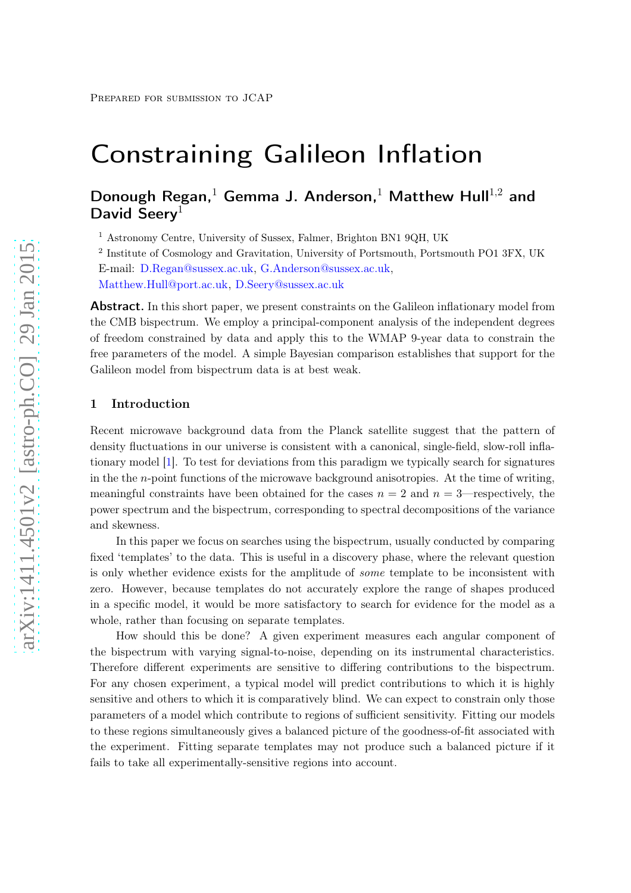# Constraining Galileon Inflation

## Donough Regan,<sup>1</sup> Gemma J. Anderson,<sup>1</sup> Matthew Hull<sup>1,2</sup> and David Seery<sup>1</sup>

<sup>1</sup> Astronomy Centre, University of Sussex, Falmer, Brighton BN1 9QH, UK

2 Institute of Cosmology and Gravitation, University of Portsmouth, Portsmouth PO1 3FX, UK E-mail: [D.Regan@sussex.ac.uk,](mailto:D.Regan@sussex.ac.uk) [G.Anderson@sussex.ac.uk,](mailto:G.Anderson@sussex.ac.uk)

[Matthew.Hull@port.ac.uk,](mailto:Matthew.Hull@port.ac.uk) [D.Seery@sussex.ac.uk](mailto:D.Seery@sussex.ac.uk)

Abstract. In this short paper, we present constraints on the Galileon inflationary model from the CMB bispectrum. We employ a principal-component analysis of the independent degrees of freedom constrained by data and apply this to the WMAP 9-year data to constrain the free parameters of the model. A simple Bayesian comparison establishes that support for the Galileon model from bispectrum data is at best weak.

#### 1 Introduction

Recent microwave background data from the Planck satellite suggest that the pattern of density fluctuations in our universe is consistent with a canonical, single-field, slow-roll inflationary model [\[1](#page-9-0)]. To test for deviations from this paradigm we typically search for signatures in the the n-point functions of the microwave background anisotropies. At the time of writing, meaningful constraints have been obtained for the cases  $n = 2$  and  $n = 3$ —respectively, the power spectrum and the bispectrum, corresponding to spectral decompositions of the variance and skewness.

In this paper we focus on searches using the bispectrum, usually conducted by comparing fixed 'templates' to the data. This is useful in a discovery phase, where the relevant question is only whether evidence exists for the amplitude of some template to be inconsistent with zero. However, because templates do not accurately explore the range of shapes produced in a specific model, it would be more satisfactory to search for evidence for the model as a whole, rather than focusing on separate templates.

How should this be done? A given experiment measures each angular component of the bispectrum with varying signal-to-noise, depending on its instrumental characteristics. Therefore different experiments are sensitive to differing contributions to the bispectrum. For any chosen experiment, a typical model will predict contributions to which it is highly sensitive and others to which it is comparatively blind. We can expect to constrain only those parameters of a model which contribute to regions of sufficient sensitivity. Fitting our models to these regions simultaneously gives a balanced picture of the goodness-of-fit associated with the experiment. Fitting separate templates may not produce such a balanced picture if it fails to take all experimentally-sensitive regions into account.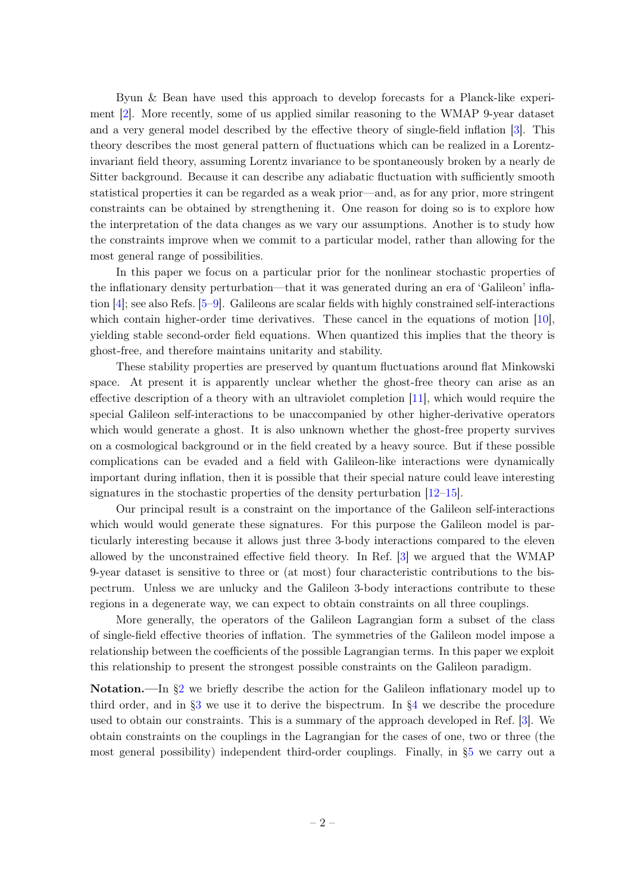<span id="page-2-0"></span>Byun & Bean have used this approach to develop forecasts for a Planck-like experiment [\[2](#page-9-1)]. More recently, some of us applied similar reasoning to the WMAP 9-year dataset and a very general model described by the effective theory of single-field inflation [\[3\]](#page-9-2). This theory describes the most general pattern of fluctuations which can be realized in a Lorentzinvariant field theory, assuming Lorentz invariance to be spontaneously broken by a nearly de Sitter background. Because it can describe any adiabatic fluctuation with sufficiently smooth statistical properties it can be regarded as a weak prior—and, as for any prior, more stringent constraints can be obtained by strengthening it. One reason for doing so is to explore how the interpretation of the data changes as we vary our assumptions. Another is to study how the constraints improve when we commit to a particular model, rather than allowing for the most general range of possibilities.

<span id="page-2-3"></span>In this paper we focus on a particular prior for the nonlinear stochastic properties of the inflationary density perturbation—that it was generated during an era of 'Galileon' inflation [\[4\]](#page-9-3); see also Refs. [\[5](#page-9-4)[–9](#page-9-5)]. Galileons are scalar fields with highly constrained self-interactions which contain higher-order time derivatives. These cancel in the equations of motion [\[10](#page-9-6)], yielding stable second-order field equations. When quantized this implies that the theory is ghost-free, and therefore maintains unitarity and stability.

These stability properties are preserved by quantum fluctuations around flat Minkowski space. At present it is apparently unclear whether the ghost-free theory can arise as an effective description of a theory with an ultraviolet completion  $[11]$ , which would require the special Galileon self-interactions to be unaccompanied by other higher-derivative operators which would generate a ghost. It is also unknown whether the ghost-free property survives on a cosmological background or in the field created by a heavy source. But if these possible complications can be evaded and a field with Galileon-like interactions were dynamically important during inflation, then it is possible that their special nature could leave interesting signatures in the stochastic properties of the density perturbation [\[12](#page-9-8)[–15\]](#page-9-9).

Our principal result is a constraint on the importance of the Galileon self-interactions which would would generate these signatures. For this purpose the Galileon model is particularly interesting because it allows just three 3-body interactions compared to the eleven allowed by the unconstrained effective field theory. In Ref. [\[3\]](#page-9-2) we argued that the WMAP 9-year dataset is sensitive to three or (at most) four characteristic contributions to the bispectrum. Unless we are unlucky and the Galileon 3-body interactions contribute to these regions in a degenerate way, we can expect to obtain constraints on all three couplings.

More generally, the operators of the Galileon Lagrangian form a subset of the class of single-field effective theories of inflation. The symmetries of the Galileon model impose a relationship between the coefficients of the possible Lagrangian terms. In this paper we exploit this relationship to present the strongest possible constraints on the Galileon paradigm.

<span id="page-2-2"></span><span id="page-2-1"></span>Notation.—In [§2](#page-2-0) we briefly describe the action for the Galileon inflationary model up to third order, and in [§3](#page-3-0) we use it to derive the bispectrum. In [§4](#page-4-0) we describe the procedure used to obtain our constraints. This is a summary of the approach developed in Ref. [\[3](#page-9-2)]. We obtain constraints on the couplings in the Lagrangian for the cases of one, two or three (the most general possibility) independent third-order couplings. Finally, in [§5](#page-7-0) we carry out a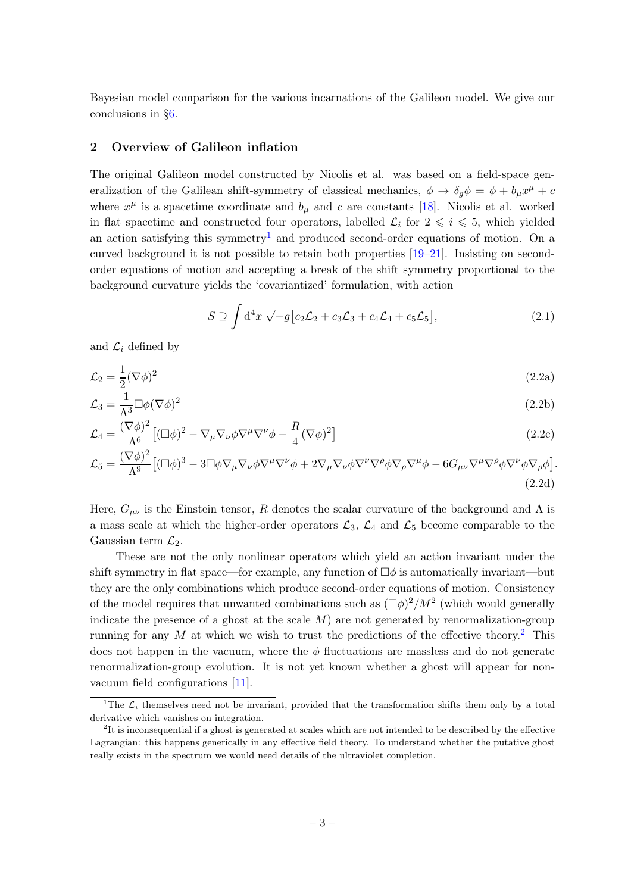Bayesian model comparison for the various incarnations of the Galileon model. We give our conclusions in [§6.](#page-8-0)

#### 2 Overview of Galileon inflation

<span id="page-3-1"></span>The original Galileon model constructed by Nicolis et al. was based on a field-space generalization of the Galilean shift-symmetry of classical mechanics,  $\phi \to \delta_g \phi = \phi + b_\mu x^\mu + c$ where  $x^{\mu}$  is a spacetime coordinate and  $b_{\mu}$  and c are constants [\[18\]](#page-9-10). Nicolis et al. worked in flat spacetime and constructed four operators, labelled  $\mathcal{L}_i$  for  $2 \leq i \leq 5$ , which yielded an action satisfying this symmetry<sup>[1](#page-2-1)</sup> and produced second-order equations of motion. On a curved background it is not possible to retain both properties [\[19](#page-9-11)[–21](#page-10-0)]. Insisting on secondorder equations of motion and accepting a break of the shift symmetry proportional to the background curvature yields the 'covariantized' formulation, with action

$$
S \supseteq \int d^4x \sqrt{-g} \big[c_2 \mathcal{L}_2 + c_3 \mathcal{L}_3 + c_4 \mathcal{L}_4 + c_5 \mathcal{L}_5\big],\tag{2.1}
$$

and  $\mathcal{L}_i$  defined by

$$
\mathcal{L}_2 = \frac{1}{2} (\nabla \phi)^2 \tag{2.2a}
$$

$$
\mathcal{L}_3 = \frac{1}{\Lambda^3} \Box \phi (\nabla \phi)^2 \tag{2.2b}
$$

$$
\mathcal{L}_4 = \frac{(\nabla \phi)^2}{\Lambda^6} \left[ (\Box \phi)^2 - \nabla_\mu \nabla_\nu \phi \nabla^\mu \nabla^\nu \phi - \frac{R}{4} (\nabla \phi)^2 \right]
$$
\n
$$
(2.2c)
$$

$$
\mathcal{L}_{5} = \frac{(\nabla \phi)^{2}}{\Lambda^{9}} \left[ (\Box \phi)^{3} - 3 \Box \phi \nabla_{\mu} \nabla_{\nu} \phi \nabla^{\mu} \nabla^{\nu} \phi + 2 \nabla_{\mu} \nabla_{\nu} \phi \nabla^{\nu} \nabla^{\rho} \phi \nabla_{\rho} \nabla^{\mu} \phi - 6 G_{\mu \nu} \nabla^{\mu} \nabla^{\rho} \phi \nabla^{\nu} \phi \nabla_{\rho} \phi \right].
$$
\n(2.2d)

Here,  $G_{\mu\nu}$  is the Einstein tensor, R denotes the scalar curvature of the background and  $\Lambda$  is a mass scale at which the higher-order operators  $\mathcal{L}_3$ ,  $\mathcal{L}_4$  and  $\mathcal{L}_5$  become comparable to the Gaussian term  $\mathcal{L}_2$ .

<span id="page-3-0"></span>These are not the only nonlinear operators which yield an action invariant under the shift symmetry in flat space—for example, any function of  $\Box \phi$  is automatically invariant—but they are the only combinations which produce second-order equations of motion. Consistency of the model requires that unwanted combinations such as  $(\Box \phi)^2 / M^2$  (which would generally indicate the presence of a ghost at the scale  $M$ ) are not generated by renormalization-group running for any M at which we wish to trust the predictions of the effective theory.<sup>[2](#page-2-2)</sup> This does not happen in the vacuum, where the  $\phi$  fluctuations are massless and do not generate renormalization-group evolution. It is not yet known whether a ghost will appear for nonvacuum field configurations [\[11](#page-9-7)].

<sup>&</sup>lt;sup>1</sup>The  $\mathcal{L}_i$  themselves need not be invariant, provided that the transformation shifts them only by a total derivative which vanishes on integration.

<sup>&</sup>lt;sup>2</sup>It is inconsequential if a ghost is generated at scales which are not intended to be described by the effective Lagrangian: this happens generically in any effective field theory. To understand whether the putative ghost really exists in the spectrum we would need details of the ultraviolet completion.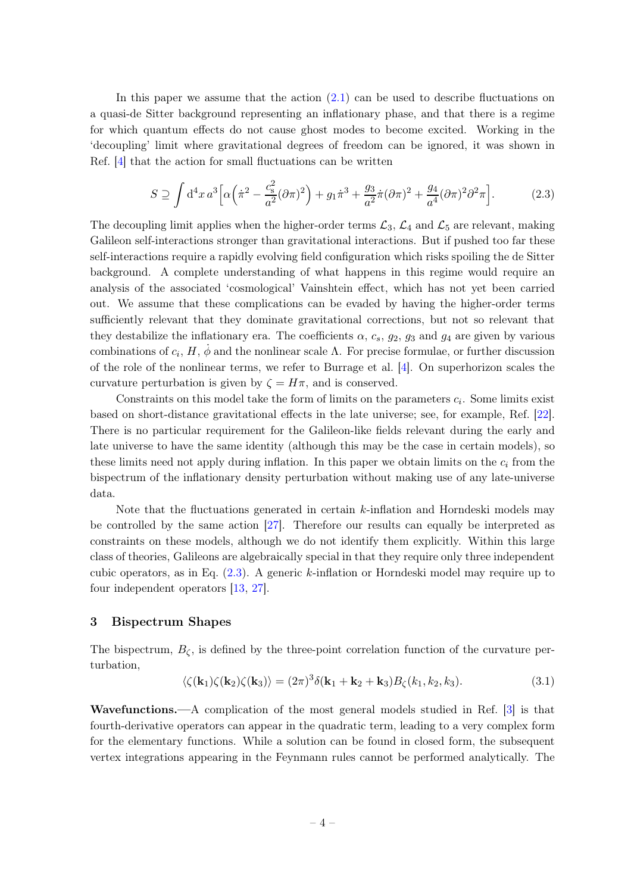In this paper we assume that the action  $(2.1)$  can be used to describe fluctuations on a quasi-de Sitter background representing an inflationary phase, and that there is a regime for which quantum effects do not cause ghost modes to become excited. Working in the 'decoupling' limit where gravitational degrees of freedom can be ignored, it was shown in Ref. [\[4](#page-9-3)] that the action for small fluctuations can be written

$$
S \supseteq \int d^4x \, a^3 \Big[ \alpha \Big( \dot{\pi}^2 - \frac{c_s^2}{a^2} (\partial \pi)^2 \Big) + g_1 \dot{\pi}^3 + \frac{g_3}{a^2} \dot{\pi} (\partial \pi)^2 + \frac{g_4}{a^4} (\partial \pi)^2 \partial^2 \pi \Big]. \tag{2.3}
$$

The decoupling limit applies when the higher-order terms  $\mathcal{L}_3$ ,  $\mathcal{L}_4$  and  $\mathcal{L}_5$  are relevant, making Galileon self-interactions stronger than gravitational interactions. But if pushed too far these self-interactions require a rapidly evolving field configuration which risks spoiling the de Sitter background. A complete understanding of what happens in this regime would require an analysis of the associated 'cosmological' Vainshtein effect, which has not yet been carried out. We assume that these complications can be evaded by having the higher-order terms sufficiently relevant that they dominate gravitational corrections, but not so relevant that they destabilize the inflationary era. The coefficients  $\alpha$ ,  $c_s$ ,  $g_2$ ,  $g_3$  and  $g_4$  are given by various combinations of  $c_i$ ,  $H$ ,  $\dot{\phi}$  and the nonlinear scale  $\Lambda$ . For precise formulae, or further discussion of the role of the nonlinear terms, we refer to Burrage et al. [\[4\]](#page-9-3). On superhorizon scales the curvature perturbation is given by  $\zeta = H\pi$ , and is conserved.

<span id="page-4-3"></span>Constraints on this model take the form of limits on the parameters  $c_i$ . Some limits exist based on short-distance gravitational effects in the late universe; see, for example, Ref. [\[22](#page-10-1)]. There is no particular requirement for the Galileon-like fields relevant during the early and late universe to have the same identity (although this may be the case in certain models), so these limits need not apply during inflation. In this paper we obtain limits on the  $c_i$  from the bispectrum of the inflationary density perturbation without making use of any late-universe data.

Note that the fluctuations generated in certain  $k$ -inflation and Horndeski models may be controlled by the same action [\[27\]](#page-10-2). Therefore our results can equally be interpreted as constraints on these models, although we do not identify them explicitly. Within this large class of theories, Galileons are algebraically special in that they require only three independent cubic operators, as in Eq.  $(2.3)$ . A generic k-inflation or Horndeski model may require up to four independent operators [\[13,](#page-9-12) [27](#page-10-2)].

#### 3 Bispectrum Shapes

<span id="page-4-0"></span>The bispectrum,  $B_{\zeta}$ , is defined by the three-point correlation function of the curvature perturbation,

<span id="page-4-2"></span><span id="page-4-1"></span>
$$
\langle \zeta(\mathbf{k}_1)\zeta(\mathbf{k}_2)\zeta(\mathbf{k}_3)\rangle = (2\pi)^3 \delta(\mathbf{k}_1 + \mathbf{k}_2 + \mathbf{k}_3) B_{\zeta}(k_1, k_2, k_3). \tag{3.1}
$$

Wavefunctions.—A complication of the most general models studied in Ref. [\[3](#page-9-2)] is that fourth-derivative operators can appear in the quadratic term, leading to a very complex form for the elementary functions. While a solution can be found in closed form, the subsequent vertex integrations appearing in the Feynmann rules cannot be performed analytically. The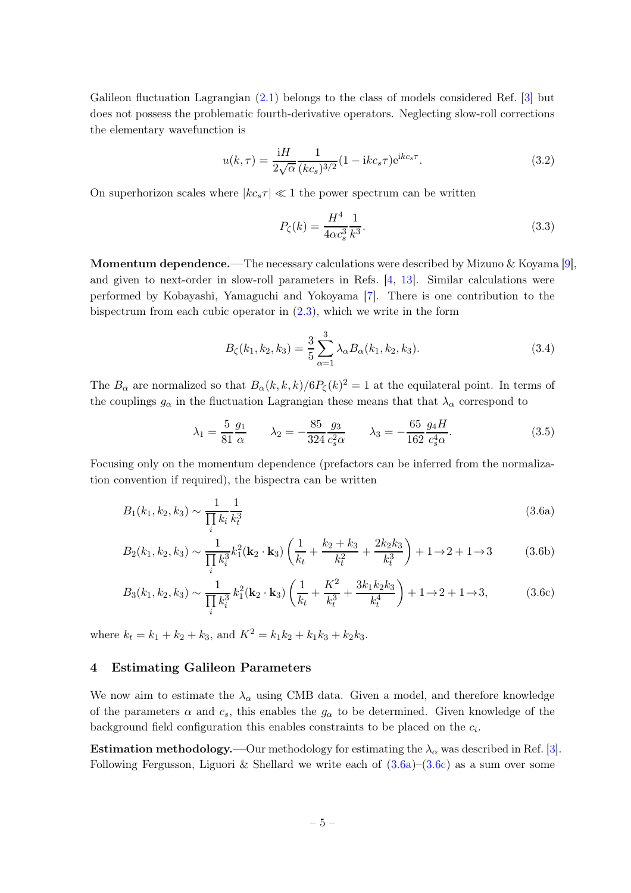Galileon fluctuation Lagrangian  $(2.1)$  belongs to the class of models considered Ref. [\[3\]](#page-9-2) but does not possess the problematic fourth-derivative operators. Neglecting slow-roll corrections the elementary wavefunction is

$$
u(k,\tau) = \frac{iH}{2\sqrt{\alpha}} \frac{1}{(kc_s)^{3/2}} (1 - ikc_s \tau) e^{ikc_s \tau}.
$$
 (3.2)

On superhorizon scales where  $|kc_s\tau| \ll 1$  the power spectrum can be written

$$
P_{\zeta}(k) = \frac{H^4}{4\alpha c_s^3} \frac{1}{k^3}.
$$
\n(3.3)

**Momentum dependence.**—The necessary calculations were described by Mizuno  $\&$  Koyama [\[9\]](#page-9-5), and given to next-order in slow-roll parameters in Refs.  $\begin{bmatrix} 4 \\ 1 \end{bmatrix}$ . Similar calculations were performed by Kobayashi, Yamaguchi and Yokoyama [\[7](#page-9-13)]. There is one contribution to the bispectrum from each cubic operator in [\(2.3\)](#page-3-1), which we write in the form

$$
B_{\zeta}(k_1, k_2, k_3) = \frac{3}{5} \sum_{\alpha=1}^{3} \lambda_{\alpha} B_{\alpha}(k_1, k_2, k_3).
$$
 (3.4)

The  $B_{\alpha}$  are normalized so that  $B_{\alpha}(k, k, k)/6P_{\zeta}(k)^{2} = 1$  at the equilateral point. In terms of the couplings  $g_{\alpha}$  in the fluctuation Lagrangian these means that that  $\lambda_{\alpha}$  correspond to

<span id="page-5-0"></span>
$$
\lambda_1 = \frac{5}{81} \frac{g_1}{\alpha} \qquad \lambda_2 = -\frac{85}{324} \frac{g_3}{c_s^2 \alpha} \qquad \lambda_3 = -\frac{65}{162} \frac{g_4 H}{c_s^4 \alpha}.
$$
 (3.5)

Focusing only on the momentum dependence (prefactors can be inferred from the normalization convention if required), the bispectra can be written

$$
B_1(k_1, k_2, k_3) \sim \frac{1}{\prod_i k_i} \frac{1}{k_t^3}
$$
\n(3.6a)

$$
B_2(k_1, k_2, k_3) \sim \frac{1}{\prod_i k_i^3} k_1^2(\mathbf{k}_2 \cdot \mathbf{k}_3) \left( \frac{1}{k_t} + \frac{k_2 + k_3}{k_t^2} + \frac{2k_2 k_3}{k_t^3} \right) + 1 \to 2 + 1 \to 3 \tag{3.6b}
$$

$$
B_3(k_1, k_2, k_3) \sim \frac{1}{\prod_i k_i^3} k_1^2(\mathbf{k}_2 \cdot \mathbf{k}_3) \left( \frac{1}{k_t} + \frac{K^2}{k_t^3} + \frac{3k_1 k_2 k_3}{k_t^4} \right) + 1 \to 2 + 1 \to 3,
$$
 (3.6c)

where  $k_t = k_1 + k_2 + k_3$ , and  $K^2 = k_1k_2 + k_1k_3 + k_2k_3$ .

#### 4 Estimating Galileon Parameters

We now aim to estimate the  $\lambda_{\alpha}$  using CMB data. Given a model, and therefore knowledge of the parameters  $\alpha$  and  $c_s$ , this enables the  $g_\alpha$  to be determined. Given knowledge of the background field configuration this enables constraints to be placed on the  $c_i$ .

**Estimation methodology.**—Our methodology for estimating the  $\lambda_{\alpha}$  was described in Ref. [\[3\]](#page-9-2). Following Fergusson, Liguori & Shellard we write each of  $(3.6a)-(3.6c)$  $(3.6a)-(3.6c)$  as a sum over some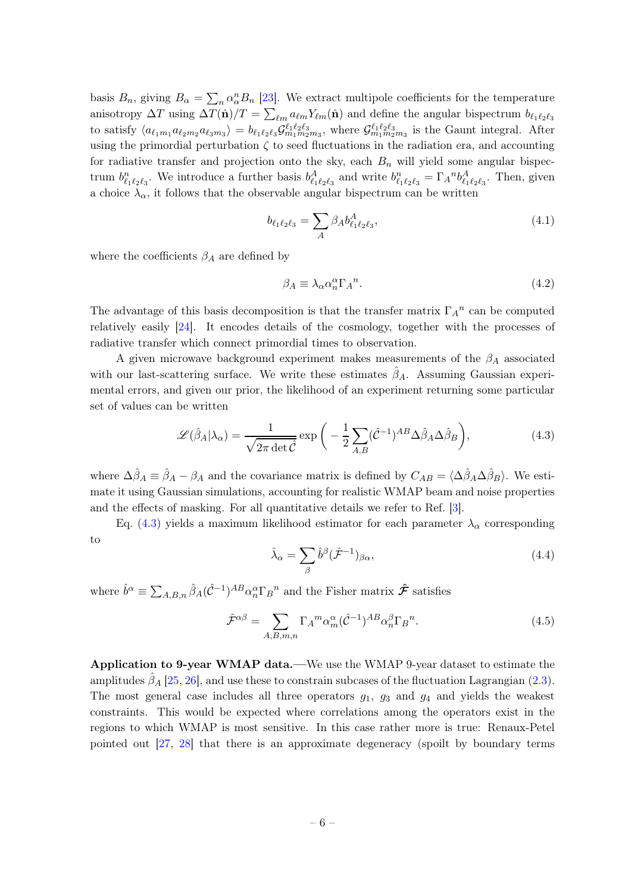basis  $B_n$ , giving  $B_\alpha = \sum_n \alpha_\alpha^n B_n$  [\[23](#page-10-3)]. We extract multipole coefficients for the temperature anisotropy  $\Delta T$  using  $\Delta T(\hat{\bf n})/T = \sum_{\ell m} a_{\ell m} Y_{\ell m}(\hat{\bf n})$  and define the angular bispectrum  $b_{\ell_1 \ell_2 \ell_3}$ to satisfy  $\langle a_{\ell_1m_1} a_{\ell_2m_2} a_{\ell_3m_3} \rangle = b_{\ell_1\ell_2\ell_3} \mathcal{G}_{m_1m_2m_3}^{\ell_1\ell_2\ell_3}$ , where  $\mathcal{G}_{m_1m_2m_3}^{\ell_1\ell_2\ell_3}$  is the Gaunt integral. After using the primordial perturbation  $\zeta$  to seed fluctuations in the radiation era, and accounting for radiative transfer and projection onto the sky, each  $B_n$  will yield some angular bispectrum  $b_{\ell_1\ell_2\ell_3}^n$ . We introduce a further basis  $b_{\ell_1\ell_2\ell_3}^A$  and write  $b_{\ell_1\ell_2\ell_3}^n = \Gamma_A{}^nb_{\ell_1\ell_2\ell_3}^A$ . Then, given a choice  $\lambda_{\alpha}$ , it follows that the observable angular bispectrum can be written

<span id="page-6-0"></span>
$$
b_{\ell_1 \ell_2 \ell_3} = \sum_A \beta_A b_{\ell_1 \ell_2 \ell_3}^A,
$$
\n(4.1)

where the coefficients  $\beta_A$  are defined by

$$
\beta_A \equiv \lambda_\alpha \alpha_n^{\alpha} \Gamma_A{}^n. \tag{4.2}
$$

The advantage of this basis decomposition is that the transfer matrix  $\Gamma_A{}^n$  can be computed relatively easily [\[24](#page-10-4)]. It encodes details of the cosmology, together with the processes of radiative transfer which connect primordial times to observation.

A given microwave background experiment makes measurements of the  $\beta_A$  associated with our last-scattering surface. We write these estimates  $\hat{\beta}_A$ . Assuming Gaussian experimental errors, and given our prior, the likelihood of an experiment returning some particular set of values can be written

$$
\mathcal{L}(\hat{\beta}_A|\lambda_\alpha) = \frac{1}{\sqrt{2\pi \det \hat{\mathcal{C}}}} \exp\bigg(-\frac{1}{2} \sum_{A,B} (\hat{\mathcal{C}}^{-1})^{AB} \Delta \hat{\beta}_A \Delta \hat{\beta}_B\bigg),\tag{4.3}
$$

where  $\Delta \hat{\beta}_A = \hat{\beta}_A - \beta_A$  and the covariance matrix is defined by  $C_{AB} = \langle \Delta \hat{\beta}_A \Delta \hat{\beta}_B \rangle$ . We estimate it using Gaussian simulations, accounting for realistic WMAP beam and noise properties and the effects of masking. For all quantitative details we refer to Ref. [\[3](#page-9-2)].

Eq. [\(4.3\)](#page-5-0) yields a maximum likelihood estimator for each parameter  $\lambda_{\alpha}$  corresponding to

$$
\hat{\lambda}_{\alpha} = \sum_{\beta} \hat{b}^{\beta} (\hat{\mathcal{F}}^{-1})_{\beta \alpha},\tag{4.4}
$$

where  $\hat{b}^{\alpha} \equiv \sum_{A,B,n} \hat{\beta}_A (\hat{C}^{-1})^{AB} \alpha_n^{\alpha} \Gamma_B{}^n$  and the Fisher matrix  $\hat{\mathcal{F}}$  satisfies

$$
\hat{\mathcal{F}}^{\alpha\beta} = \sum_{A,B,m,n} \Gamma_A{}^m \alpha_m^{\alpha} (\hat{\mathcal{C}}^{-1})^{AB} \alpha_n^{\beta} \Gamma_B{}^n.
$$
\n(4.5)

Application to 9-year WMAP data.—We use the WMAP 9-year dataset to estimate the amplitudes  $\hat{\beta}_A$  [\[25,](#page-10-5) [26](#page-10-6)], and use these to constrain subcases of the fluctuation Lagrangian [\(2.3\)](#page-3-1). The most general case includes all three operators  $g_1$ ,  $g_3$  and  $g_4$  and yields the weakest constraints. This would be expected where correlations among the operators exist in the regions to which WMAP is most sensitive. In this case rather more is true: Renaux-Petel pointed out [\[27,](#page-10-2) [28\]](#page-10-7) that there is an approximate degeneracy (spoilt by boundary terms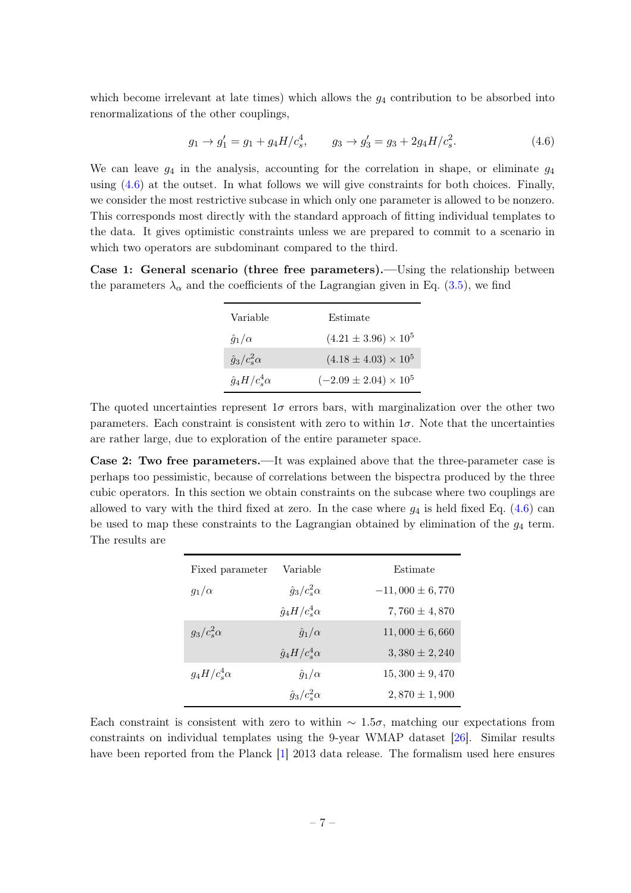which become irrelevant at late times) which allows the  $g_4$  contribution to be absorbed into renormalizations of the other couplings,

$$
g_1 \to g_1' = g_1 + g_4 H/c_s^4, \qquad g_3 \to g_3' = g_3 + 2g_4 H/c_s^2. \tag{4.6}
$$

We can leave  $g_4$  in the analysis, accounting for the correlation in shape, or eliminate  $g_4$ using  $(4.6)$  at the outset. In what follows we will give constraints for both choices. Finally, we consider the most restrictive subcase in which only one parameter is allowed to be nonzero. This corresponds most directly with the standard approach of fitting individual templates to the data. It gives optimistic constraints unless we are prepared to commit to a scenario in which two operators are subdominant compared to the third.

<span id="page-7-0"></span>Case 1: General scenario (three free parameters).—Using the relationship between the parameters  $\lambda_{\alpha}$  and the coefficients of the Lagrangian given in Eq. [\(3.5\)](#page-4-3), we find

| Variable                 | Estimate                       |
|--------------------------|--------------------------------|
| $\hat{g}_1/\alpha$       | $(4.21 \pm 3.96) \times 10^5$  |
| $\hat{g}_3/c_s^2\alpha$  | $(4.18 \pm 4.03) \times 10^5$  |
| $\hat{g}_4H/c_s^4\alpha$ | $(-2.09 \pm 2.04) \times 10^5$ |

The quoted uncertainties represent  $1\sigma$  errors bars, with marginalization over the other two parameters. Each constraint is consistent with zero to within  $1\sigma$ . Note that the uncertainties are rather large, due to exploration of the entire parameter space.

Case 2: Two free parameters.—It was explained above that the three-parameter case is perhaps too pessimistic, because of correlations between the bispectra produced by the three cubic operators. In this section we obtain constraints on the subcase where two couplings are allowed to vary with the third fixed at zero. In the case where  $g_4$  is held fixed Eq. [\(4.6\)](#page-6-0) can be used to map these constraints to the Lagrangian obtained by elimination of the  $g_4$  term. The results are

| Fixed parameter    | Variable                 | Estimate            |
|--------------------|--------------------------|---------------------|
| $g_1/\alpha$       | $\hat{g}_3/c_s^2 \alpha$ | $-11,000 \pm 6,770$ |
|                    | $\hat{g}_4H/c_s^4\alpha$ | $7,760 \pm 4,870$   |
| $g_3/c_s^2\alpha$  | $\hat{g}_1/\alpha$       | $11,000 \pm 6,660$  |
|                    | $\hat{g}_4H/c_s^4\alpha$ | $3,380 \pm 2,240$   |
| $g_4H/c_s^4\alpha$ | $\hat{g}_1/\alpha$       | $15,300 \pm 9,470$  |
|                    | $\hat{g}_3/c_s^2\alpha$  | $2,870 \pm 1,900$   |

<span id="page-7-1"></span>Each constraint is consistent with zero to within  $\sim 1.5\sigma$ , matching our expectations from constraints on individual templates using the 9-year WMAP dataset [\[26](#page-10-6)]. Similar results have been reported from the Planck [\[1](#page-9-0)] 2013 data release. The formalism used here ensures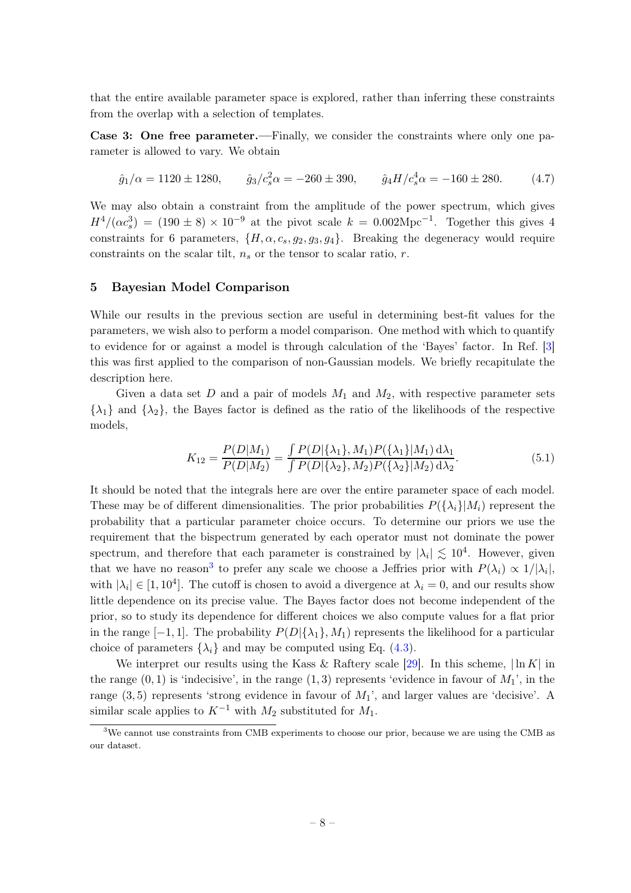that the entire available parameter space is explored, rather than inferring these constraints from the overlap with a selection of templates.

Case 3: One free parameter.—Finally, we consider the constraints where only one parameter is allowed to vary. We obtain

$$
\hat{g}_1/\alpha = 1120 \pm 1280, \qquad \hat{g}_3/c_s^2 \alpha = -260 \pm 390, \qquad \hat{g}_4 H/c_s^4 \alpha = -160 \pm 280. \tag{4.7}
$$

We may also obtain a constraint from the amplitude of the power spectrum, which gives  $H^4/(\alpha c_s^3) = (190 \pm 8) \times 10^{-9}$  at the pivot scale  $k = 0.002 \text{Mpc}^{-1}$ . Together this gives 4 constraints for 6 parameters,  $\{H, \alpha, c_s, g_2, g_3, g_4\}$ . Breaking the degeneracy would require constraints on the scalar tilt,  $n_s$  or the tensor to scalar ratio, r.

#### 5 Bayesian Model Comparison

While our results in the previous section are useful in determining best-fit values for the parameters, we wish also to perform a model comparison. One method with which to quantify to evidence for or against a model is through calculation of the 'Bayes' factor. In Ref. [\[3](#page-9-2)] this was first applied to the comparison of non-Gaussian models. We briefly recapitulate the description here.

<span id="page-8-0"></span>Given a data set D and a pair of models  $M_1$  and  $M_2$ , with respective parameter sets  $\{\lambda_1\}$  and  $\{\lambda_2\}$ , the Bayes factor is defined as the ratio of the likelihoods of the respective models,

$$
K_{12} = \frac{P(D|M_1)}{P(D|M_2)} = \frac{\int P(D|\{\lambda_1\}, M_1) P(\{\lambda_1\}|M_1) d\lambda_1}{\int P(D|\{\lambda_2\}, M_2) P(\{\lambda_2\}|M_2) d\lambda_2}.
$$
(5.1)

It should be noted that the integrals here are over the entire parameter space of each model. These may be of different dimensionalities. The prior probabilities  $P(\{\lambda_i\}|M_i)$  represent the probability that a particular parameter choice occurs. To determine our priors we use the requirement that the bispectrum generated by each operator must not dominate the power spectrum, and therefore that each parameter is constrained by  $|\lambda_i| \lesssim 10^4$ . However, given that we have no reason<sup>[3](#page-7-1)</sup> to prefer any scale we choose a Jeffries prior with  $P(\lambda_i) \propto 1/|\lambda_i|$ , with  $|\lambda_i| \in [1, 10^4]$ . The cutoff is chosen to avoid a divergence at  $\lambda_i = 0$ , and our results show little dependence on its precise value. The Bayes factor does not become independent of the prior, so to study its dependence for different choices we also compute values for a flat prior in the range  $[-1, 1]$ . The probability  $P(D|\{\lambda_1\}, M_1)$  represents the likelihood for a particular choice of parameters  $\{\lambda_i\}$  and may be computed using Eq. [\(4.3\)](#page-5-0).

We interpret our results using the Kass & Raftery scale [\[29\]](#page-10-8). In this scheme,  $|\ln K|$  in the range  $(0, 1)$  is 'indecisive', in the range  $(1, 3)$  represents 'evidence in favour of  $M_1$ ', in the range  $(3, 5)$  represents 'strong evidence in favour of  $M_1$ ', and larger values are 'decisive'. A similar scale applies to  $K^{-1}$  with  $M_2$  substituted for  $M_1$ .

<sup>&</sup>lt;sup>3</sup>We cannot use constraints from CMB experiments to choose our prior, because we are using the CMB as our dataset.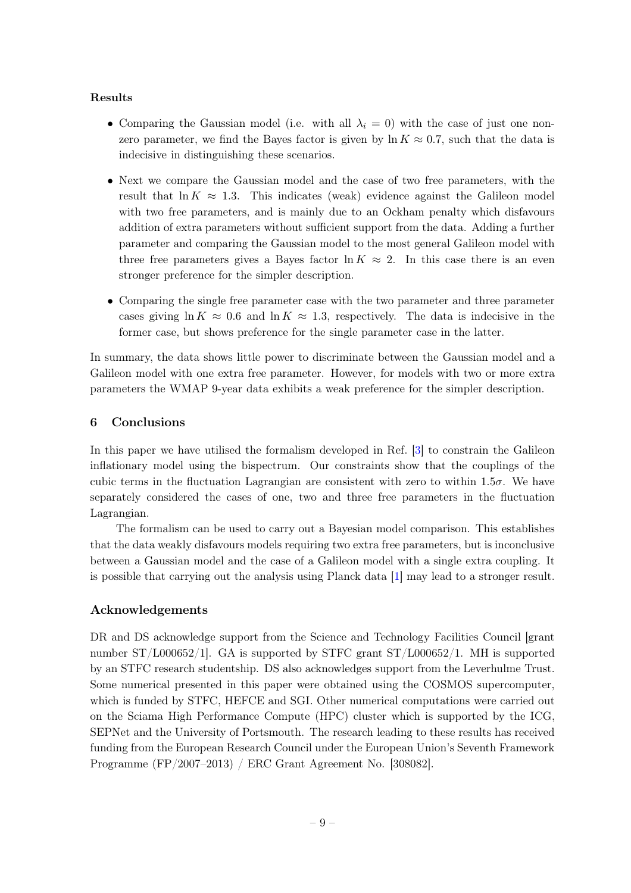#### Results

- <span id="page-9-0"></span>• Comparing the Gaussian model (i.e. with all  $\lambda_i = 0$ ) with the case of just one nonzero parameter, we find the Bayes factor is given by  $\ln K \approx 0.7$ , such that the data is indecisive in distinguishing these scenarios.
- <span id="page-9-3"></span><span id="page-9-2"></span><span id="page-9-1"></span>• Next we compare the Gaussian model and the case of two free parameters, with the result that  $\ln K \approx 1.3$ . This indicates (weak) evidence against the Galileon model with two free parameters, and is mainly due to an Ockham penalty which disfavours addition of extra parameters without sufficient support from the data. Adding a further parameter and comparing the Gaussian model to the most general Galileon model with three free parameters gives a Bayes factor  $\ln K \approx 2$ . In this case there is an even stronger preference for the simpler description.
- <span id="page-9-13"></span><span id="page-9-4"></span>• Comparing the single free parameter case with the two parameter and three parameter cases giving  $\ln K \approx 0.6$  and  $\ln K \approx 1.3$ , respectively. The data is indecisive in the former case, but shows preference for the single parameter case in the latter.

In summary, the data shows little power to discriminate between the Gaussian model and a Galileon model with one extra free parameter. However, for models with two or more extra parameters the WMAP 9-year data exhibits a weak preference for the simpler description.

#### <span id="page-9-6"></span><span id="page-9-5"></span>6 Conclusions

<span id="page-9-7"></span>In this paper we have utilised the formalism developed in Ref. [\[3\]](#page-9-2) to constrain the Galileon inflationary model using the bispectrum. Our constraints show that the couplings of the cubic terms in the fluctuation Lagrangian are consistent with zero to within  $1.5\sigma$ . We have separately considered the cases of one, two and three free parameters in the fluctuation Lagrangian.

<span id="page-9-12"></span><span id="page-9-8"></span>The formalism can be used to carry out a Bayesian model comparison. This establishes that the data weakly disfavours models requiring two extra free parameters, but is inconclusive between a Gaussian model and the case of a Galileon model with a single extra coupling. It is possible that carrying out the analysis using Planck data [\[1](#page-9-0)] may lead to a stronger result.

#### <span id="page-9-9"></span>Acknowledgements

<span id="page-9-11"></span><span id="page-9-10"></span>DR and DS acknowledge support from the Science and Technology Facilities Council [grant number ST/L000652/1]. GA is supported by STFC grant ST/L000652/1. MH is supported by an STFC research studentship. DS also acknowledges support from the Leverhulme Trust. Some numerical presented in this paper were obtained using the COSMOS supercomputer, which is funded by STFC, HEFCE and SGI. Other numerical computations were carried out on the Sciama High Performance Compute (HPC) cluster which is supported by the ICG, SEPNet and the University of Portsmouth. The research leading to these results has received funding from the European Research Council under the European Union's Seventh Framework Programme (FP/2007–2013) / ERC Grant Agreement No. [308082].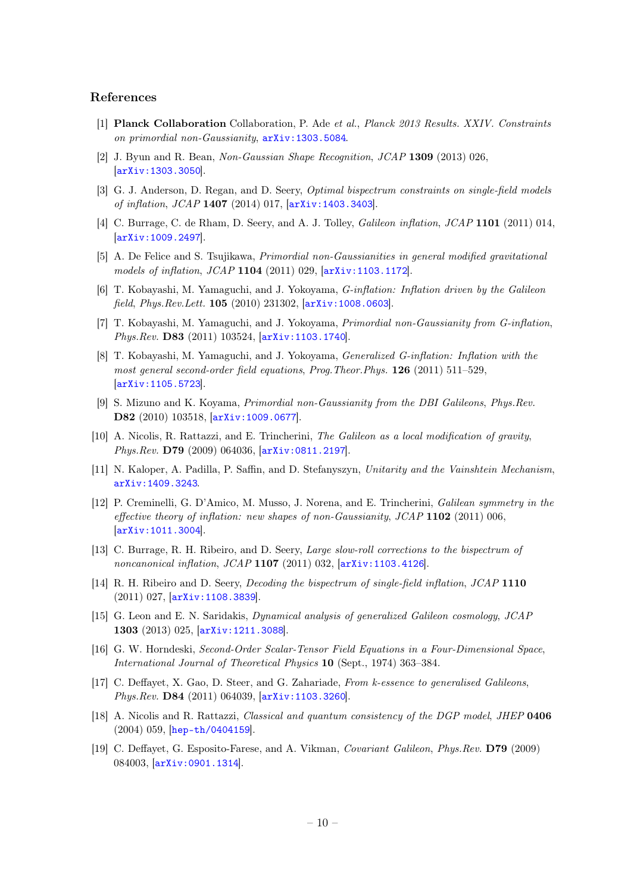#### References

- [1] Planck Collaboration Collaboration, P. Ade et al., Planck 2013 Results. XXIV. Constraints on primordial non-Gaussianity, [arXiv:1303.5084](http://arxiv.org/abs/1303.5084).
- <span id="page-10-0"></span>[2] J. Byun and R. Bean, Non-Gaussian Shape Recognition, JCAP 1309 (2013) 026, [[arXiv:1303.3050](http://arxiv.org/abs/1303.3050)].
- <span id="page-10-1"></span>[3] G. J. Anderson, D. Regan, and D. Seery, Optimal bispectrum constraints on single-field models of inflation, JCAP 1407 (2014) 017, [[arXiv:1403.3403](http://arxiv.org/abs/1403.3403)].
- <span id="page-10-3"></span>[4] C. Burrage, C. de Rham, D. Seery, and A. J. Tolley, Galileon inflation, JCAP 1101 (2011) 014, [[arXiv:1009.2497](http://arxiv.org/abs/1009.2497)].
- <span id="page-10-4"></span>[5] A. De Felice and S. Tsujikawa, Primordial non-Gaussianities in general modified gravitational models of inflation, JCAP 1104 (2011) 029,  $[ary1103.1172]$ .
- <span id="page-10-5"></span>[6] T. Kobayashi, M. Yamaguchi, and J. Yokoyama, G-inflation: Inflation driven by the Galileon field, Phys.Rev.Lett. 105 (2010) 231302, [[arXiv:1008.0603](http://arxiv.org/abs/1008.0603)].
- <span id="page-10-6"></span>[7] T. Kobayashi, M. Yamaguchi, and J. Yokoyama, Primordial non-Gaussianity from G-inflation, Phys.Rev. D83 (2011) 103524, [[arXiv:1103.1740](http://arxiv.org/abs/1103.1740)].
- <span id="page-10-2"></span>[8] T. Kobayashi, M. Yamaguchi, and J. Yokoyama, Generalized G-inflation: Inflation with the most general second-order field equations, Prog.Theor.Phys. 126 (2011) 511–529, [[arXiv:1105.5723](http://arxiv.org/abs/1105.5723)].
- <span id="page-10-7"></span>[9] S. Mizuno and K. Koyama, Primordial non-Gaussianity from the DBI Galileons, Phys.Rev. D82 (2010) 103518, [[arXiv:1009.0677](http://arxiv.org/abs/1009.0677)].
- <span id="page-10-8"></span>[10] A. Nicolis, R. Rattazzi, and E. Trincherini, The Galileon as a local modification of gravity, Phys.Rev. D79 (2009) 064036, [[arXiv:0811.2197](http://arxiv.org/abs/0811.2197)].
- [11] N. Kaloper, A. Padilla, P. Saffin, and D. Stefanyszyn, Unitarity and the Vainshtein Mechanism, [arXiv:1409.3243](http://arxiv.org/abs/1409.3243).
- [12] P. Creminelli, G. D'Amico, M. Musso, J. Norena, and E. Trincherini, Galilean symmetry in the effective theory of inflation: new shapes of non-Gaussianity,  $JCAP$  1102 (2011) 006, [[arXiv:1011.3004](http://arxiv.org/abs/1011.3004)].
- [13] C. Burrage, R. H. Ribeiro, and D. Seery, Large slow-roll corrections to the bispectrum of noncanonical inflation, JCAP 1107 (2011) 032, [[arXiv:1103.4126](http://arxiv.org/abs/1103.4126)].
- [14] R. H. Ribeiro and D. Seery, *Decoding the bispectrum of single-field inflation*, *JCAP* 1110 (2011) 027, [[arXiv:1108.3839](http://arxiv.org/abs/1108.3839)].
- [15] G. Leon and E. N. Saridakis, Dynamical analysis of generalized Galileon cosmology, JCAP 1303 (2013) 025, [[arXiv:1211.3088](http://arxiv.org/abs/1211.3088)].
- [16] G. W. Horndeski, Second-Order Scalar-Tensor Field Equations in a Four-Dimensional Space, International Journal of Theoretical Physics 10 (Sept., 1974) 363–384.
- [17] C. Deffayet, X. Gao, D. Steer, and G. Zahariade, From k-essence to generalised Galileons, Phys.Rev. D84 (2011) 064039, [[arXiv:1103.3260](http://arxiv.org/abs/1103.3260)].
- [18] A. Nicolis and R. Rattazzi, *Classical and quantum consistency of the DGP model, JHEP* 0406 (2004) 059, [[hep-th/0404159](http://arxiv.org/abs/hep-th/0404159)].
- [19] C. Deffayet, G. Esposito-Farese, and A. Vikman, Covariant Galileon, Phys.Rev. D79 (2009) 084003, [[arXiv:0901.1314](http://arxiv.org/abs/0901.1314)].